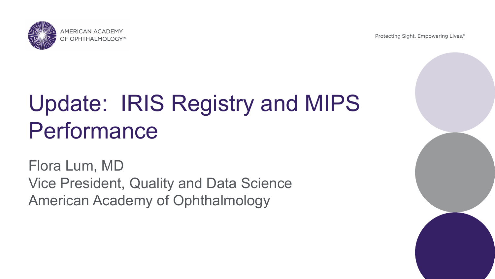**AMERICAN ACADEMY** OF OPHTHALMOLOGY®

Protecting Sight. Empowering Lives.®

# Update: IRIS Registry and MIPS Performance

Flora Lum, MD Vice President, Quality and Data Science American Academy of Ophthalmology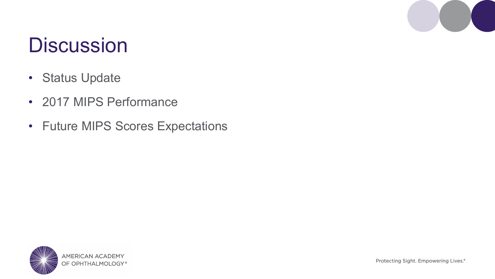### **Discussion**

- Status Update
- 2017 MIPS Performance
- Future MIPS Scores Expectations

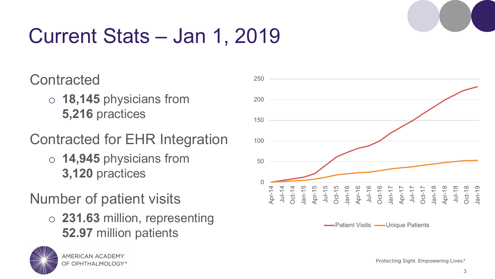

# Current Stats – Jan 1, 2019

### **Contracted**

- o **18,145** physicians from **5,216** practices
- Contracted for EHR Integration
	- o **14,945** physicians from **3,120** practices

### Number of patient visits

o **231.63** million, representing **52.97** million patients





-Patient Visits - Unique Patients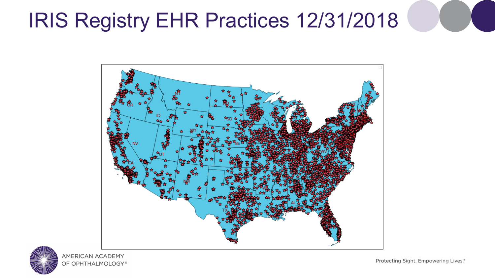### IRIS Registry EHR Practices 12/31/2018





Protecting Sight. Empowering Lives.®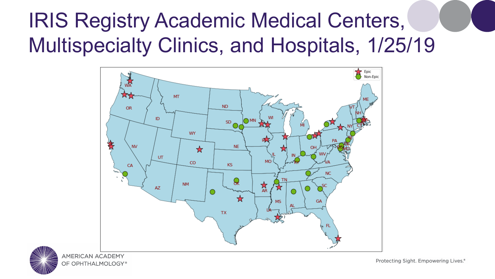### IRIS Registry Academic Medical Centers, Multispecialty Clinics, and Hospitals, 1/25/19





Protecting Sight. Empowering Lives.<sup>®</sup>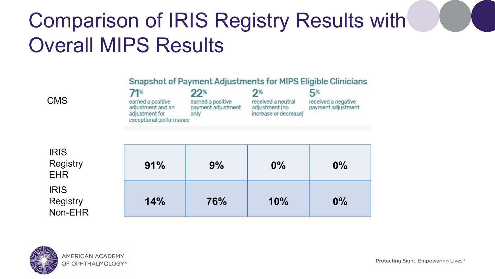### Comparison of IRIS Registry Results with Overall MIPS Results

### Snapshot of Payment Adjustments for MIPS Eligible Clinicians

| <b>CMS</b> | earned a positive<br>adjustment and an<br>adjustment for<br>exceptional performance | $22^*$<br>earned a positive<br>payment adjustment<br>oniv | received a neutral<br>adjustment (no<br>increase or decrease) | received a negative<br>payment adjustment |
|------------|-------------------------------------------------------------------------------------|-----------------------------------------------------------|---------------------------------------------------------------|-------------------------------------------|
|            |                                                                                     |                                                           |                                                               |                                           |

| <b>IRIS</b><br><b>Registry</b><br><b>EHR</b> | 91% | 9%  | $0\%$ | $0\%$ |
|----------------------------------------------|-----|-----|-------|-------|
| <b>IRIS</b><br><b>Registry</b><br>Non-EHR    | 14% | 76% | 10%   | $0\%$ |

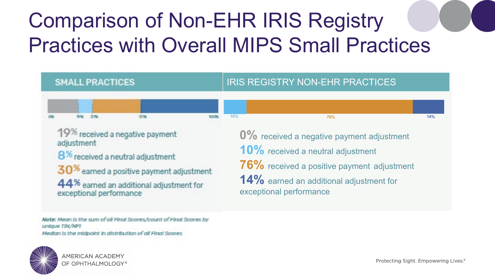## Comparison of Non-EHR IRIS Registry Practices with Overall MIPS Small Practices



Note: Mean is the sum of all Final Scores/count of Final Scores by unique TIN/NPI

Median is the midpoint in distribution of all Final Scores



**MERICAN ACADEMY** OF OPHTHALMOLOGY®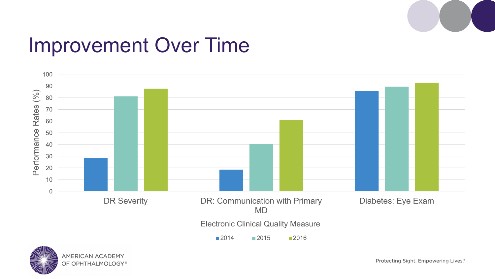

### Improvement Over Time



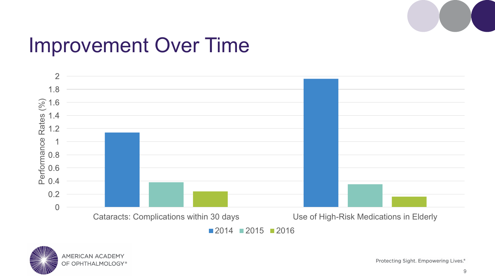

### Improvement Over Time





Protecting Sight. Empowering Lives.®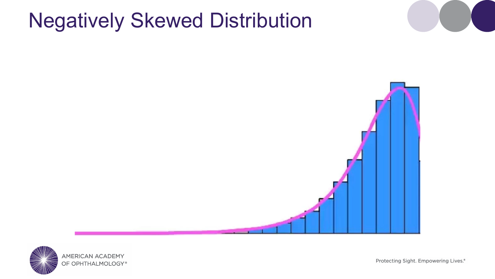### Negatively Skewed Distribution



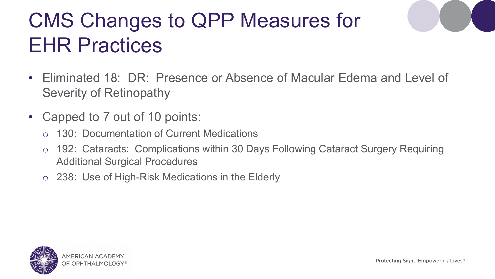## CMS Changes to QPP Measures for EHR Practices

- Eliminated 18: DR: Presence or Absence of Macular Edema and Level of Severity of Retinopathy
- Capped to 7 out of 10 points:
	- o 130: Documentation of Current Medications
	- o 192: Cataracts: Complications within 30 Days Following Cataract Surgery Requiring Additional Surgical Procedures
	- o 238: Use of High-Risk Medications in the Elderly